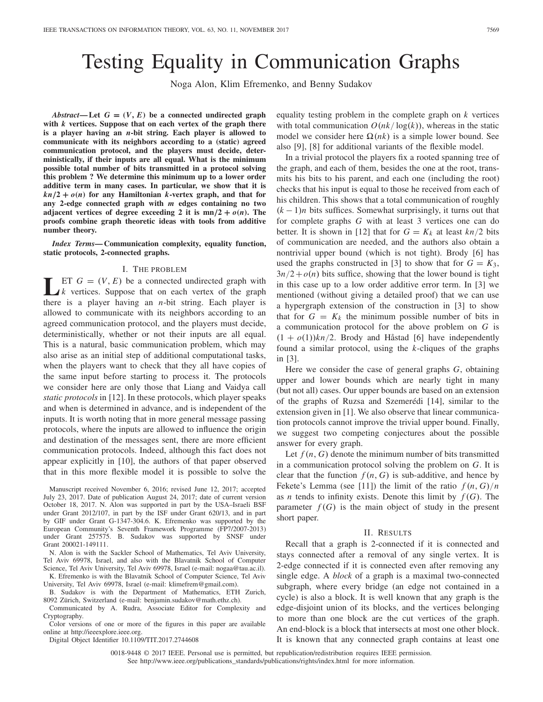# Testing Equality in Communication Graphs

Noga Alon, Klim Efremenko, and Benny Sudakov

*Abstract*—Let  $G = (V, E)$  be a connected undirected graph **with** *k* **vertices. Suppose that on each vertex of the graph there is a player having an** *n***-bit string. Each player is allowed to communicate with its neighbors according to a (static) agreed communication protocol, and the players must decide, deterministically, if their inputs are all equal. What is the minimum possible total number of bits transmitted in a protocol solving this problem ? We determine this minimum up to a lower order additive term in many cases. In particular, we show that it is**  $k n/2 + o(n)$  for any Hamiltonian *k*-vertex graph, and that for **any 2-edge connected graph with** *m* **edges containing no two adjacent vertices of degree exceeding 2 it is**  $mn/2 + o(n)$ **. The proofs combine graph theoretic ideas with tools from additive number theory.**

*Index Terms***— Communication complexity, equality function, static protocols, 2-connected graphs.**

#### I. THE PROBLEM

**LET**  $G = (V, E)$  be a connected undirected graph with  $k$  vertices. Suppose that on each vertex of the graph there is a player having an *n*-bit string. Each player is allowed to communicate with its neighbors according to an agreed communication protocol, and the players must decide, deterministically, whether or not their inputs are all equal. This is a natural, basic communication problem, which may also arise as an initial step of additional computational tasks, when the players want to check that they all have copies of the same input before starting to process it. The protocols we consider here are only those that Liang and Vaidya call *static protocols* in [12]. In these protocols, which player speaks and when is determined in advance, and is independent of the inputs. It is worth noting that in more general message passing protocols, where the inputs are allowed to influence the origin and destination of the messages sent, there are more efficient communication protocols. Indeed, although this fact does not appear explicitly in [10], the authors of that paper observed that in this more flexible model it is possible to solve the

Manuscript received November 6, 2016; revised June 12, 2017; accepted July 23, 2017. Date of publication August 24, 2017; date of current version October 18, 2017. N. Alon was supported in part by the USA–Israeli BSF under Grant 2012/107, in part by the ISF under Grant 620/13, and in part by GIF under Grant G-1347-304.6. K. Efremenko was supported by the European Community's Seventh Framework Programme (FP7/2007-2013) under Grant 257575. B. Sudakov was supported by SNSF under Grant 200021-149111.

N. Alon is with the Sackler School of Mathematics, Tel Aviv University, Tel Aviv 69978, Israel, and also with the Blavatnik School of Computer Science, Tel Aviv University, Tel Aviv 69978, Israel (e-mail: nogaa@tau.ac.il).

K. Efremenko is with the Blavatnik School of Computer Science, Tel Aviv University, Tel Aviv 69978, Israel (e-mail: klimefrem@gmail.com). B. Sudakov is with the Department of Mathematics, ETH Zurich,

8092 Zürich, Switzerland (e-mail: benjamin.sudakov@math.ethz.ch).

Communicated by A. Rudra, Associate Editor for Complexity and Cryptography.

Color versions of one or more of the figures in this paper are available online at http://ieeexplore.ieee.org.

Digital Object Identifier 10.1109/TIT.2017.2744608

equality testing problem in the complete graph on *k* vertices with total communication  $O(nk/\log(k))$ , whereas in the static model we consider here  $\Omega(nk)$  is a simple lower bound. See also [9], [8] for additional variants of the flexible model.

In a trivial protocol the players fix a rooted spanning tree of the graph, and each of them, besides the one at the root, transmits his bits to his parent, and each one (including the root) checks that his input is equal to those he received from each of his children. This shows that a total communication of roughly  $(k - 1)n$  bits suffices. Somewhat surprisingly, it turns out that for complete graphs *G* with at least 3 vertices one can do better. It is shown in [12] that for  $G = K_k$  at least  $kn/2$  bits of communication are needed, and the authors also obtain a nontrivial upper bound (which is not tight). Brody [6] has used the graphs constructed in [3] to show that for  $G = K_3$ ,  $3n/2+o(n)$  bits suffice, showing that the lower bound is tight in this case up to a low order additive error term. In [3] we mentioned (without giving a detailed proof) that we can use a hypergraph extension of the construction in [3] to show that for  $G = K_k$  the minimum possible number of bits in a communication protocol for the above problem on *G* is  $(1 + o(1))kn/2$ . Brody and Håstad [6] have independently found a similar protocol, using the *k*-cliques of the graphs in [3].

Here we consider the case of general graphs *G*, obtaining upper and lower bounds which are nearly tight in many (but not all) cases. Our upper bounds are based on an extension of the graphs of Ruzsa and Szemerédi [14], similar to the extension given in [1]. We also observe that linear communication protocols cannot improve the trivial upper bound. Finally, we suggest two competing conjectures about the possible answer for every graph.

Let  $f(n, G)$  denote the minimum number of bits transmitted in a communication protocol solving the problem on *G*. It is clear that the function  $f(n, G)$  is sub-additive, and hence by Fekete's Lemma (see [11]) the limit of the ratio  $f(n, G)/n$ as *n* tends to infinity exists. Denote this limit by  $f(G)$ . The parameter  $f(G)$  is the main object of study in the present short paper.

#### II. RESULTS

Recall that a graph is 2-connected if it is connected and stays connected after a removal of any single vertex. It is 2-edge connected if it is connected even after removing any single edge. A *block* of a graph is a maximal two-connected subgraph, where every bridge (an edge not contained in a cycle) is also a block. It is well known that any graph is the edge-disjoint union of its blocks, and the vertices belonging to more than one block are the cut vertices of the graph. An end-block is a block that intersects at most one other block. It is known that any connected graph contains at least one

0018-9448 © 2017 IEEE. Personal use is permitted, but republication/redistribution requires IEEE permission. See http://www.ieee.org/publications\_standards/publications/rights/index.html for more information.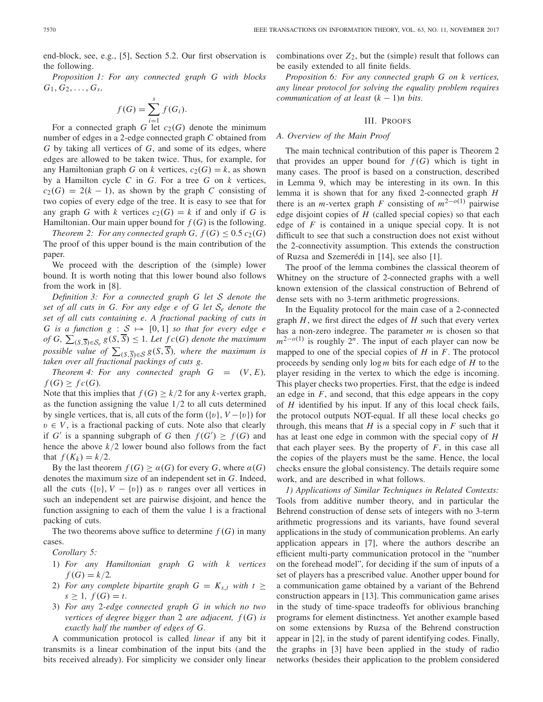end-block, see, e.g., [5], Section 5.2. Our first observation is the following.

*Proposition 1: For any connected graph G with blocks*  $G_1, G_2, \ldots, G_s$ 

$$
f(G) = \sum_{i=1}^{s} f(G_i).
$$

For a connected graph *G* let  $c_2(G)$  denote the minimum number of edges in a 2-edge connected graph *C* obtained from *G* by taking all vertices of *G*, and some of its edges, where edges are allowed to be taken twice. Thus, for example, for any Hamiltonian graph *G* on *k* vertices,  $c_2(G) = k$ , as shown by a Hamilton cycle *C* in *G*. For a tree *G* on *k* vertices,  $c_2(G) = 2(k - 1)$ , as shown by the graph *C* consisting of two copies of every edge of the tree. It is easy to see that for any graph *G* with *k* vertices  $c_2(G) = k$  if and only if *G* is Hamiltonian. Our main upper bound for  $f(G)$  is the following.

*Theorem 2: For any connected graph G,*  $f(G) \leq 0.5$   $c_2(G)$ The proof of this upper bound is the main contribution of the paper.

We proceed with the description of the (simple) lower bound. It is worth noting that this lower bound also follows from the work in [8].

*Definition 3: For a connected graph G let S denote the set of all cuts in G. For any edge e of G let S<sup>e</sup> denote the set of all cuts containing e. A fractional packing of cuts in G* is a function  $g : S \mapsto [0, 1]$  *so that for every edge e of G*,  $\sum_{(S,\overline{S}) \in \mathcal{S}_e} g(S,\overline{S})$  ≤ 1*. Let*  $\overline{f}c(G)$  *denote the maximum possible value of*  $\sum_{(S,\overline{S})\in\mathcal{S}} g(S, S)$ *, where the maximum is taken over all fractional packings of cuts g.*

*Theorem 4: For any connected graph*  $G = (V, E)$ *,*  $f(G) > f_c(G)$ .

Note that this implies that  $f(G) \geq k/2$  for any *k*-vertex graph, as the function assigning the value  $1/2$  to all cuts determined by single vertices, that is, all cuts of the form  $({v}, V-{v})$  for  $v \in V$ , is a fractional packing of cuts. Note also that clearly if *G'* is a spanning subgraph of *G* then  $f(G') \geq f(G)$  and hence the above  $k/2$  lower bound also follows from the fact that  $f(K_k) = k/2$ .

By the last theorem  $f(G) \ge \alpha(G)$  for every *G*, where  $\alpha(G)$ denotes the maximum size of an independent set in *G*. Indeed, all the cuts  $({v}, V - {v})$  as v ranges over all vertices in such an independent set are pairwise disjoint, and hence the function assigning to each of them the value 1 is a fractional packing of cuts.

The two theorems above suffice to determine  $f(G)$  in many cases.

*Corollary 5:*

- 1) *For any Hamiltonian graph G with k vertices*  $f(G) = k/2.$
- 2) *For any complete bipartite graph*  $G = K_{s,t}$  *with*  $t \geq$  $s > 1, f(G) = t.$
- 3) *For any* 2*-edge connected graph G in which no two vertices of degree bigger than* 2 *are adjacent, f* (*G*) *is exactly half the number of edges of G.*

A communication protocol is called *linear* if any bit it transmits is a linear combination of the input bits (and the bits received already). For simplicity we consider only linear combinations over  $Z_2$ , but the (simple) result that follows can be easily extended to all finite fields.

*Proposition 6: For any connected graph G on k vertices, any linear protocol for solving the equality problem requires communication of at least*  $(k - 1)n$  *bits.* 

#### III. PROOFS

## *A. Overview of the Main Proof*

The main technical contribution of this paper is Theorem 2 that provides an upper bound for  $f(G)$  which is tight in many cases. The proof is based on a construction, described in Lemma 9, which may be interesting in its own. In this lemma it is shown that for any fixed 2-connected graph *H* there is an *m*-vertex graph *F* consisting of  $m^{2-o(1)}$  pairwise edge disjoint copies of *H* (called special copies) so that each edge of *F* is contained in a unique special copy. It is not difficult to see that such a construction does not exist without the 2-connectivity assumption. This extends the construction of Ruzsa and Szemerédi in [14], see also [1].

The proof of the lemma combines the classical theorem of Whitney on the structure of 2-connected graphs with a well known extension of the classical construction of Behrend of dense sets with no 3-term arithmetic progressions.

In the Equality protocol for the main case of a 2-connected graph *H*, we first direct the edges of *H* such that every vertex has a non-zero indegree. The parameter *m* is chosen so that  $m^{2-o(1)}$  is roughly  $2^n$ . The input of each player can now be mapped to one of the special copies of *H* in *F*. The protocol proceeds by sending only log *m* bits for each edge of *H* to the player residing in the vertex to which the edge is incoming. This player checks two properties. First, that the edge is indeed an edge in *F*, and second, that this edge appears in the copy of *H* identified by his input. If any of this local check fails, the protocol outputs NOT-equal. If all these local checks go through, this means that  $H$  is a special copy in  $F$  such that it has at least one edge in common with the special copy of *H* that each player sees. By the property of  $F$ , in this case all the copies of the players must be the same. Hence, the local checks ensure the global consistency. The details require some work, and are described in what follows.

*1) Applications of Similar Techniques in Related Contexts:* Tools from additive number theory, and in particular the Behrend construction of dense sets of integers with no 3-term arithmetic progressions and its variants, have found several applications in the study of communication problems. An early application appears in [7], where the authors describe an efficient multi-party communication protocol in the "number on the forehead model", for deciding if the sum of inputs of a set of players has a prescribed value. Another upper bound for a communication game obtained by a variant of the Behrend construction appears in [13]. This communication game arises in the study of time-space tradeoffs for oblivious branching programs for element distinctness. Yet another example based on some extensions by Ruzsa of the Behrend construction appear in [2], in the study of parent identifying codes. Finally, the graphs in [3] have been applied in the study of radio networks (besides their application to the problem considered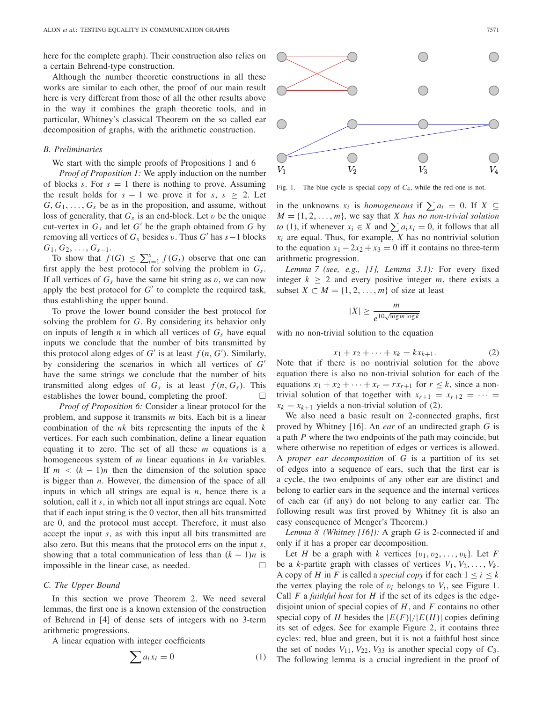here for the complete graph). Their construction also relies on a certain Behrend-type construction.

Although the number theoretic constructions in all these works are similar to each other, the proof of our main result here is very different from those of all the other results above in the way it combines the graph theoretic tools, and in particular, Whitney's classical Theorem on the so called ear decomposition of graphs, with the arithmetic construction.

#### *B. Preliminaries*

We start with the simple proofs of Propositions 1 and 6

*Proof of Proposition 1:* We apply induction on the number of blocks *s*. For  $s = 1$  there is nothing to prove. Assuming the result holds for  $s - 1$  we prove it for  $s, s \geq 2$ . Let  $G, G_1, \ldots, G_s$  be as in the proposition, and assume, without loss of generality, that  $G<sub>s</sub>$  is an end-block. Let v be the unique cut-vertex in  $G_s$  and let  $G'$  be the graph obtained from  $G$  by removing all vertices of  $G_s$  besides v. Thus  $G'$  has  $s-1$  blocks  $G_1, G_2, \ldots, G_{s-1}.$ 

To show that  $f(G) \leq \sum_{i=1}^{s} f(G_i)$  observe that one can first apply the best protocol for solving the problem in *Gs*. If all vertices of  $G_s$  have the same bit string as  $v$ , we can now apply the best protocol for  $G'$  to complete the required task, thus establishing the upper bound.

To prove the lower bound consider the best protocol for solving the problem for *G*. By considering its behavior only on inputs of length  $n$  in which all vertices of  $G_s$  have equal inputs we conclude that the number of bits transmitted by this protocol along edges of  $G'$  is at least  $f(n, G')$ . Similarly, by considering the scenarios in which all vertices of *G* have the same strings we conclude that the number of bits transmitted along edges of  $G_s$  is at least  $f(n, G_s)$ . This establishes the lower bound, completing the proof.  $\Box$ 

*Proof of Proposition 6:* Consider a linear protocol for the problem, and suppose it transmits *m* bits. Each bit is a linear combination of the *nk* bits representing the inputs of the *k* vertices. For each such combination, define a linear equation equating it to zero. The set of all these *m* equations is a homogeneous system of *m* linear equations in *kn* variables. If  $m \leq (k-1)n$  then the dimension of the solution space is bigger than *n*. However, the dimension of the space of all inputs in which all strings are equal is *n*, hence there is a solution, call it *s*, in which not all input strings are equal. Note that if each input string is the 0 vector, then all bits transmitted are 0, and the protocol must accept. Therefore, it must also accept the input *s*, as with this input all bits transmitted are also zero. But this means that the protocol errs on the input *s*, showing that a total communication of less than  $(k - 1)n$  is impossible in the linear case, as needed.  $\Box$ 

## *C. The Upper Bound*

In this section we prove Theorem 2. We need several lemmas, the first one is a known extension of the construction of Behrend in [4] of dense sets of integers with no 3-term arithmetic progressions.

A linear equation with integer coefficients

$$
\sum a_i x_i = 0 \tag{1}
$$



Fig. 1. The blue cycle is special copy of  $C_4$ , while the red one is not.

in the unknowns  $x_i$  is *homogeneous* if  $\sum a_i = 0$ . If  $X \subseteq$  $M = \{1, 2, \ldots, m\}$ , we say that *X* has no non-trivial solution *to* (1), if whenever  $x_i \in X$  and  $\sum a_i x_i = 0$ , it follows that all  $x_i$  are equal. Thus, for example, *X* has no nontrivial solution to the equation  $x_1 - 2x_2 + x_3 = 0$  iff it contains no three-term arithmetic progression.

*Lemma 7 (see, e.g., [1], Lemma 3.1):* For every fixed integer  $k \geq 2$  and every positive integer *m*, there exists a subset  $X \subset M = \{1, 2, \ldots, m\}$  of size at least

$$
|X| \ge \frac{m}{e^{10\sqrt{\log m \log k}}}
$$

with no non-trivial solution to the equation

$$
x_1 + x_2 + \dots + x_k = kx_{k+1}.
$$
 (2)

Note that if there is no nontrivial solution for the above equation there is also no non-trivial solution for each of the equations  $x_1 + x_2 + \cdots + x_r = rx_{r+1}$  for  $r \leq k$ , since a nontrivial solution of that together with  $x_{r+1} = x_{r+2} = \cdots$  $x_k = x_{k+1}$  yields a non-trivial solution of (2).

We also need a basic result on 2-connected graphs, first proved by Whitney [16]. An *ear* of an undirected graph *G* is a path *P* where the two endpoints of the path may coincide, but where otherwise no repetition of edges or vertices is allowed. A *proper ear decomposition* of *G* is a partition of its set of edges into a sequence of ears, such that the first ear is a cycle, the two endpoints of any other ear are distinct and belong to earlier ears in the sequence and the internal vertices of each ear (if any) do not belong to any earlier ear. The following result was first proved by Whitney (it is also an easy consequence of Menger's Theorem.)

*Lemma 8 (Whitney [16]):* A graph *G* is 2-connected if and only if it has a proper ear decomposition.

Let *H* be a graph with *k* vertices  $\{v_1, v_2, \ldots, v_k\}$ . Let *F* be a *k*-partite graph with classes of vertices  $V_1, V_2, \ldots, V_k$ . A copy of *H* in *F* is called a *special copy* if for each  $1 \le i \le k$ the vertex playing the role of  $v_i$  belongs to  $V_i$ , see Figure 1. Call *F* a *faithful host* for *H* if the set of its edges is the edgedisjoint union of special copies of *H*, and *F* contains no other special copy of *H* besides the  $|E(F)|/|E(H)|$  copies defining its set of edges. See for example Figure 2, it contains three cycles: red, blue and green, but it is not a faithful host since the set of nodes  $V_{11}$ ,  $V_{22}$ ,  $V_{33}$  is another special copy of  $C_3$ . The following lemma is a crucial ingredient in the proof of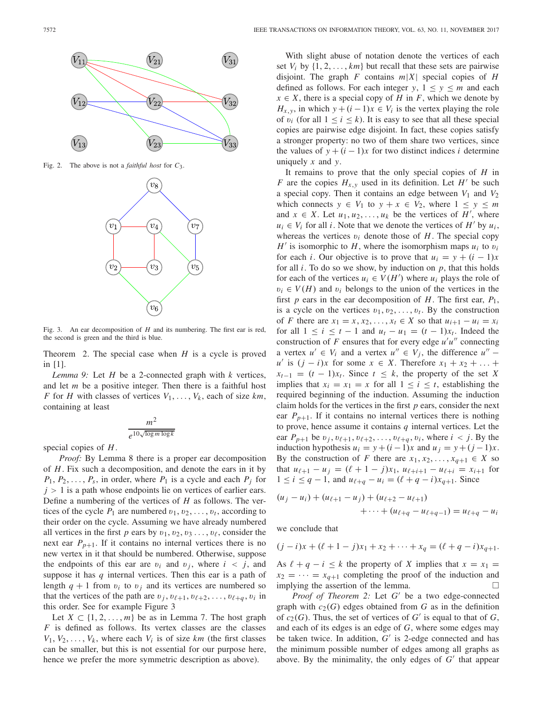

Fig. 2. The above is not a *faithful host* for *C*3.



Fig. 3. An ear decomposition of *H* and its numbering. The first ear is red, the second is green and the third is blue.

Theorem 2. The special case when *H* is a cycle is proved in [1].

*Lemma 9:* Let *H* be a 2-connected graph with *k* vertices, and let *m* be a positive integer. Then there is a faithful host *F* for *H* with classes of vertices  $V_1, \ldots, V_k$ , each of size *km*, containing at least

$$
\frac{m^2}{e^{10\sqrt{\log m \log k}}}
$$

special copies of *H*.

*Proof:* By Lemma 8 there is a proper ear decomposition of *H*. Fix such a decomposition, and denote the ears in it by  $P_1, P_2, \ldots, P_s$ , in order, where  $P_1$  is a cycle and each  $P_j$  for  $j > 1$  is a path whose endpoints lie on vertices of earlier ears. Define a numbering of the vertices of *H* as follows. The vertices of the cycle  $P_1$  are numbered  $v_1, v_2, \ldots, v_t$ , according to their order on the cycle. Assuming we have already numbered all vertices in the first *p* ears by  $v_1, v_2, v_3, \ldots, v_\ell$ , consider the next ear  $P_{p+1}$ . If it contains no internal vertices there is no new vertex in it that should be numbered. Otherwise, suppose the endpoints of this ear are  $v_i$  and  $v_j$ , where  $i < j$ , and suppose it has *q* internal vertices. Then this ear is a path of length  $q + 1$  from  $v_i$  to  $v_j$  and its vertices are numbered so that the vertices of the path are  $v_j$ ,  $v_{\ell+1}$ ,  $v_{\ell+2}$ , ...,  $v_{\ell+q}$ ,  $v_i$  in this order. See for example Figure 3

Let  $X \subset \{1, 2, \ldots, m\}$  be as in Lemma 7. The host graph *F* is defined as follows. Its vertex classes are the classes  $V_1, V_2, \ldots, V_k$ , where each  $V_i$  is of size *km* (the first classes can be smaller, but this is not essential for our purpose here, hence we prefer the more symmetric description as above).

With slight abuse of notation denote the vertices of each set  $V_i$  by  $\{1, 2, \ldots, km\}$  but recall that these sets are pairwise disjoint. The graph  $F$  contains  $m|X|$  special copies of  $H$ defined as follows. For each integer *y*,  $1 \le y \le m$  and each  $x \in X$ , there is a special copy of *H* in *F*, which we denote by  $H_{x,y}$ , in which  $y + (i - 1)x \in V_i$  is the vertex playing the role of  $v_i$  (for all  $1 \le i \le k$ ). It is easy to see that all these special copies are pairwise edge disjoint. In fact, these copies satisfy a stronger property: no two of them share two vertices, since the values of  $y + (i - 1)x$  for two distinct indices *i* determine uniquely *x* and *y*.

It remains to prove that the only special copies of *H* in *F* are the copies  $H_{x,y}$  used in its definition. Let  $H'$  be such a special copy. Then it contains an edge between *V*<sup>1</sup> and *V*<sup>2</sup> which connects  $y \in V_1$  to  $y + x \in V_2$ , where  $1 \le y \le m$ and  $x \in X$ . Let  $u_1, u_2, \ldots, u_k$  be the vertices of  $H'$ , where  $u_i \in V_i$  for all *i*. Note that we denote the vertices of  $H'$  by  $u_i$ , whereas the vertices  $v_i$  denote those of  $H$ . The special copy  $H'$  is isomorphic to *H*, where the isomorphism maps  $u_i$  to  $v_i$ for each *i*. Our objective is to prove that  $u_i = y + (i - 1)x$ for all  $i$ . To do so we show, by induction on  $p$ , that this holds for each of the vertices  $u_i \in V(H')$  where  $u_i$  plays the role of  $v_i \in V(H)$  and  $v_i$  belongs to the union of the vertices in the first *p* ears in the ear decomposition of *H*. The first ear,  $P_1$ , is a cycle on the vertices  $v_1, v_2, \ldots, v_t$ . By the construction of *F* there are  $x_1 = x, x_2, \ldots, x_t \in X$  so that  $u_{i+1} - u_i = x_i$ for all  $1 \leq i \leq t - 1$  and  $u_t - u_1 = (t - 1)x_t$ . Indeed the construction of *F* ensures that for every edge  $u'u''$  connecting a vertex  $u' \in V_i$  and a vertex  $u'' \in V_i$ , the difference  $u''$ *u'* is  $(j - i)x$  for some *x* ∈ *X*. Therefore  $x_1 + x_2 + \ldots$  $x_{t-1} = (t-1)x_t$ . Since  $t \leq k$ , the property of the set *X* implies that  $x_i = x_1 = x$  for all  $1 \leq i \leq t$ , establishing the required beginning of the induction. Assuming the induction claim holds for the vertices in the first *p* ears, consider the next ear  $P_{p+1}$ . If it contains no internal vertices there is nothing to prove, hence assume it contains  $q$  internal vertices. Let the ear  $P_{p+1}$  be  $v_j$ ,  $v_{\ell+1}$ ,  $v_{\ell+2}$ , ...,  $v_{\ell+q}$ ,  $v_i$ , where  $i < j$ . By the induction hypothesis  $u_i = y + (i - 1)x$  and  $u_j = y + (j - 1)x$ . By the construction of *F* there are  $x_1, x_2, \ldots, x_{q+1} \in X$  so that  $u_{\ell+1} - u_i = (\ell + 1 - i)x_1$ ,  $u_{\ell+i+1} - u_{\ell+i} = x_{i+1}$  for 1 ≤ *i* ≤ *q* − 1, and  $u_{\ell+q} - u_i = (\ell + q - i)x_{q+1}$ . Since

$$
(u_j - u_i) + (u_{\ell+1} - u_j) + (u_{\ell+2} - u_{\ell+1})
$$
  
 
$$
+ \cdots + (u_{\ell+q} - u_{\ell+q-1}) = u_{\ell+q} - u_i
$$

we conclude that

$$
(j-i)x + (\ell + 1 - j)x_1 + x_2 + \cdots + x_q = (\ell + q - i)x_{q+1}.
$$

As  $\ell + q - i \leq k$  the property of *X* implies that  $x = x_1 =$  $x_2 = \cdots = x_{q+1}$  completing the proof of the induction and implying the assertion of the lemma.  $\Box$ 

*Proof of Theorem 2:* Let *G'* be a two edge-connected graph with  $c_2(G)$  edges obtained from  $G$  as in the definition of  $c_2(G)$ . Thus, the set of vertices of  $G'$  is equal to that of  $G$ , and each of its edges is an edge of *G*, where some edges may be taken twice. In addition,  $G'$  is 2-edge connected and has the minimum possible number of edges among all graphs as above. By the minimality, the only edges of  $G'$  that appear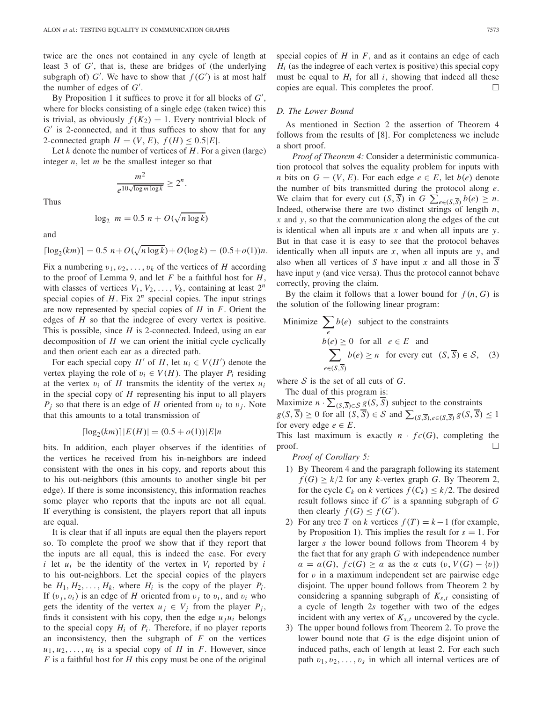twice are the ones not contained in any cycle of length at least 3 of *G'*, that is, these are bridges of (the underlying subgraph of)  $G'$ . We have to show that  $f(G')$  is at most half the number of edges of *G* .

By Proposition 1 it suffices to prove it for all blocks of *G* , where for blocks consisting of a single edge (taken twice) this is trivial, as obviously  $f(K_2) = 1$ . Every nontrivial block of *G*' is 2-connected, and it thus suffices to show that for any 2-connected graph  $H = (V, E), f(H) \le 0.5|E|$ .

Let *k* denote the number of vertices of *H*. For a given (large) integer *n*, let *m* be the smallest integer so that

$$
\frac{m^2}{e^{10\sqrt{\log m \log k}}} \ge 2^n.
$$

Thus

$$
\log_2 m = 0.5 n + O(\sqrt{n \log k})
$$

and

$$
\lceil \log_2(km) \rceil = 0.5 \ n + O(\sqrt{n \log k}) + O(\log k) = (0.5 + o(1))n.
$$

Fix a numbering  $v_1, v_2, \ldots, v_k$  of the vertices of *H* according to the proof of Lemma 9, and let *F* be a faithful host for *H*, with classes of vertices  $V_1, V_2, \ldots, V_k$ , containing at least  $2^n$ special copies of  $H$ . Fix  $2^n$  special copies. The input strings are now represented by special copies of *H* in *F*. Orient the edges of *H* so that the indegree of every vertex is positive. This is possible, since *H* is 2-connected. Indeed, using an ear decomposition of *H* we can orient the initial cycle cyclically and then orient each ear as a directed path.

For each special copy  $H'$  of  $H$ , let  $u_i \in V(H')$  denote the vertex playing the role of  $v_i \in V(H)$ . The player  $P_i$  residing at the vertex  $v_i$  of *H* transmits the identity of the vertex  $u_i$ in the special copy of *H* representing his input to all players  $P_i$  so that there is an edge of *H* oriented from  $v_i$  to  $v_j$ . Note that this amounts to a total transmission of

$$
\lceil \log_2(km) \rceil |E(H)| = (0.5 + o(1)) |E| n
$$

bits. In addition, each player observes if the identities of the vertices he received from his in-neighbors are indeed consistent with the ones in his copy, and reports about this to his out-neighbors (this amounts to another single bit per edge). If there is some inconsistency, this information reaches some player who reports that the inputs are not all equal. If everything is consistent, the players report that all inputs are equal.

It is clear that if all inputs are equal then the players report so. To complete the proof we show that if they report that the inputs are all equal, this is indeed the case. For every *i* let  $u_i$  be the identity of the vertex in  $V_i$  reported by *i* to his out-neighbors. Let the special copies of the players be  $H_1, H_2, \ldots, H_k$ , where  $H_i$  is the copy of the player  $P_i$ . If  $(v_i, v_i)$  is an edge of *H* oriented from  $v_i$  to  $v_i$ , and  $v_i$  who gets the identity of the vertex  $u_j \in V_j$  from the player  $P_j$ , finds it consistent with his copy, then the edge  $u_j u_i$  belongs to the special copy  $H_i$  of  $P_i$ . Therefore, if no player reports an inconsistency, then the subgraph of  $F$  on the vertices  $u_1, u_2, \ldots, u_k$  is a special copy of *H* in *F*. However, since  $F$  is a faithful host for  $H$  this copy must be one of the original special copies of *H* in *F*, and as it contains an edge of each  $H_i$  (as the indegree of each vertex is positive) this special copy must be equal to  $H_i$  for all  $i$ , showing that indeed all these copies are equal. This completes the proof.  $\Box$ 

## *D. The Lower Bound*

As mentioned in Section 2 the assertion of Theorem 4 follows from the results of [8]. For completeness we include a short proof.

*Proof of Theorem 4:* Consider a deterministic communication protocol that solves the equality problem for inputs with *n* bits on  $G = (V, E)$ . For each edge  $e \in E$ , let  $b(e)$  denote the number of bits transmitted during the protocol along *e*. We claim that for every cut  $(S, \overline{S})$  in  $G \sum_{e \in (S, \overline{S})} b(e) \geq n$ . Indeed, otherwise there are two distinct strings of length *n*, *x* and *y*, so that the communication along the edges of the cut is identical when all inputs are *x* and when all inputs are *y*. But in that case it is easy to see that the protocol behaves identically when all inputs are *x*, when all inputs are *y*, and also when all vertices of *S* have input *x* and all those in  $\overline{S}$ have input *y* (and vice versa). Thus the protocol cannot behave correctly, proving the claim.

By the claim it follows that a lower bound for  $f(n, G)$  is the solution of the following linear program:

Minimize 
$$
\sum_{e} b(e)
$$
 subject to the constraints  
\n $b(e) \ge 0$  for all  $e \in E$  and  
\n $\sum_{e \in (S, \overline{S})} b(e) \ge n$  for every cut  $(S, \overline{S}) \in S$ , (3)

where  $S$  is the set of all cuts of  $G$ . The dual of this program is:

Maximize  $n \cdot \sum_{(S,\overline{S}) \in S} g(S,\overline{S})$  subject to the constraints  $g(S, \overline{S}) \ge 0$  for all  $(S, \overline{S}) \in S$  and  $\sum_{(S, \overline{S}), e \in (S, \overline{S})} g(S, \overline{S}) \le 1$ for every edge  $e \in E$ .

This last maximum is exactly  $n \cdot fc(G)$ , completing the proof.  $\Box$ 

*Proof of Corollary 5:*

- 1) By Theorem 4 and the paragraph following its statement  $f(G) \geq k/2$  for any *k*-vertex graph *G*. By Theorem 2, for the cycle  $C_k$  on k vertices  $f(C_k) \leq k/2$ . The desired result follows since if  $G'$  is a spanning subgraph of  $G$ then clearly  $f(G) \leq f(G')$ .
- 2) For any tree *T* on *k* vertices  $f(T) = k 1$  (for example, by Proposition 1). This implies the result for  $s = 1$ . For larger *s* the lower bound follows from Theorem 4 by the fact that for any graph *G* with independence number  $\alpha = \alpha(G)$ ,  $fc(G) \ge \alpha$  as the  $\alpha$  cuts  $(v, V(G) - \{v\})$ for  $v$  in a maximum independent set are pairwise edge disjoint. The upper bound follows from Theorem 2 by considering a spanning subgraph of  $K_{s,t}$  consisting of a cycle of length 2*s* together with two of the edges incident with any vertex of  $K_{s,t}$  uncovered by the cycle.
- 3) The upper bound follows from Theorem 2. To prove the lower bound note that *G* is the edge disjoint union of induced paths, each of length at least 2. For each such path  $v_1, v_2, \ldots, v_s$  in which all internal vertices are of